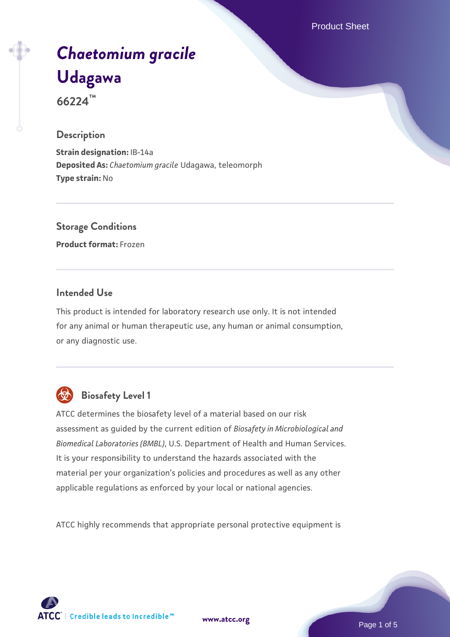Product Sheet

# *[Chaetomium gracile](https://www.atcc.org/products/66224)* **[Udagawa](https://www.atcc.org/products/66224) 66224™**

#### **Description**

**Strain designation:** IB-14a **Deposited As:** *Chaetomium gracile* Udagawa, teleomorph **Type strain:** No

## **Storage Conditions**

**Product format:** Frozen

#### **Intended Use**

This product is intended for laboratory research use only. It is not intended for any animal or human therapeutic use, any human or animal consumption, or any diagnostic use.



### **Biosafety Level 1**

ATCC determines the biosafety level of a material based on our risk assessment as guided by the current edition of *Biosafety in Microbiological and Biomedical Laboratories (BMBL)*, U.S. Department of Health and Human Services. It is your responsibility to understand the hazards associated with the material per your organization's policies and procedures as well as any other applicable regulations as enforced by your local or national agencies.

ATCC highly recommends that appropriate personal protective equipment is

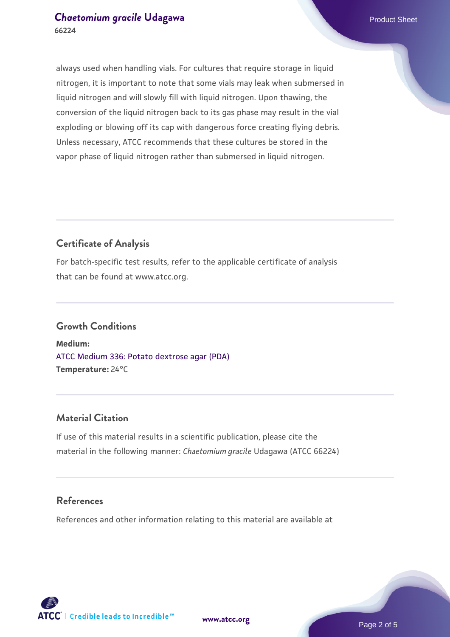#### **[Chaetomium gracile](https://www.atcc.org/products/66224) [Udagawa](https://www.atcc.org/products/66224) Product Sheet** Product Sheet **66224**

always used when handling vials. For cultures that require storage in liquid nitrogen, it is important to note that some vials may leak when submersed in liquid nitrogen and will slowly fill with liquid nitrogen. Upon thawing, the conversion of the liquid nitrogen back to its gas phase may result in the vial exploding or blowing off its cap with dangerous force creating flying debris. Unless necessary, ATCC recommends that these cultures be stored in the vapor phase of liquid nitrogen rather than submersed in liquid nitrogen.

#### **Certificate of Analysis**

For batch-specific test results, refer to the applicable certificate of analysis that can be found at www.atcc.org.

#### **Growth Conditions**

**Medium:**  [ATCC Medium 336: Potato dextrose agar \(PDA\)](https://www.atcc.org/-/media/product-assets/documents/microbial-media-formulations/3/3/6/atcc-medium-336.pdf?rev=d9160ad44d934cd8b65175461abbf3b9) **Temperature:** 24°C

#### **Material Citation**

If use of this material results in a scientific publication, please cite the material in the following manner: *Chaetomium gracile* Udagawa (ATCC 66224)

#### **References**

References and other information relating to this material are available at





**[www.atcc.org](http://www.atcc.org)**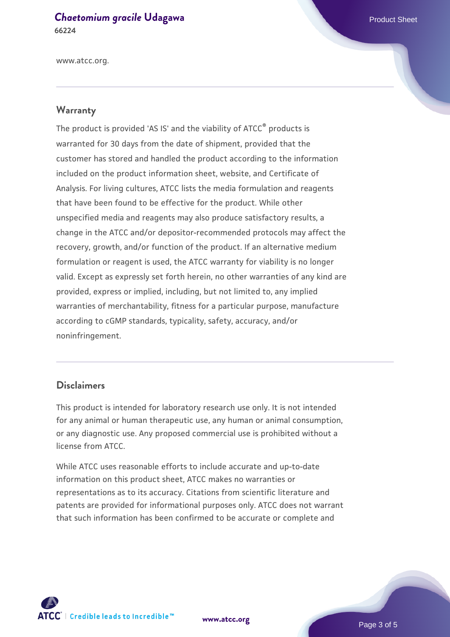### **[Chaetomium gracile](https://www.atcc.org/products/66224) [Udagawa](https://www.atcc.org/products/66224) Product Sheet** Product Sheet

**66224**

www.atcc.org.

#### **Warranty**

The product is provided 'AS IS' and the viability of ATCC® products is warranted for 30 days from the date of shipment, provided that the customer has stored and handled the product according to the information included on the product information sheet, website, and Certificate of Analysis. For living cultures, ATCC lists the media formulation and reagents that have been found to be effective for the product. While other unspecified media and reagents may also produce satisfactory results, a change in the ATCC and/or depositor-recommended protocols may affect the recovery, growth, and/or function of the product. If an alternative medium formulation or reagent is used, the ATCC warranty for viability is no longer valid. Except as expressly set forth herein, no other warranties of any kind are provided, express or implied, including, but not limited to, any implied warranties of merchantability, fitness for a particular purpose, manufacture according to cGMP standards, typicality, safety, accuracy, and/or noninfringement.

#### **Disclaimers**

This product is intended for laboratory research use only. It is not intended for any animal or human therapeutic use, any human or animal consumption, or any diagnostic use. Any proposed commercial use is prohibited without a license from ATCC.

While ATCC uses reasonable efforts to include accurate and up-to-date information on this product sheet, ATCC makes no warranties or representations as to its accuracy. Citations from scientific literature and patents are provided for informational purposes only. ATCC does not warrant that such information has been confirmed to be accurate or complete and



**[www.atcc.org](http://www.atcc.org)**

Page 3 of 5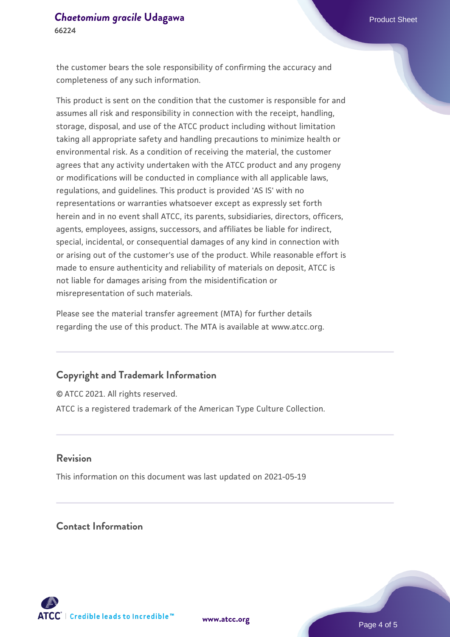the customer bears the sole responsibility of confirming the accuracy and completeness of any such information.

This product is sent on the condition that the customer is responsible for and assumes all risk and responsibility in connection with the receipt, handling, storage, disposal, and use of the ATCC product including without limitation taking all appropriate safety and handling precautions to minimize health or environmental risk. As a condition of receiving the material, the customer agrees that any activity undertaken with the ATCC product and any progeny or modifications will be conducted in compliance with all applicable laws, regulations, and guidelines. This product is provided 'AS IS' with no representations or warranties whatsoever except as expressly set forth herein and in no event shall ATCC, its parents, subsidiaries, directors, officers, agents, employees, assigns, successors, and affiliates be liable for indirect, special, incidental, or consequential damages of any kind in connection with or arising out of the customer's use of the product. While reasonable effort is made to ensure authenticity and reliability of materials on deposit, ATCC is not liable for damages arising from the misidentification or misrepresentation of such materials.

Please see the material transfer agreement (MTA) for further details regarding the use of this product. The MTA is available at www.atcc.org.

#### **Copyright and Trademark Information**

© ATCC 2021. All rights reserved. ATCC is a registered trademark of the American Type Culture Collection.

#### **Revision**

This information on this document was last updated on 2021-05-19

#### **Contact Information**